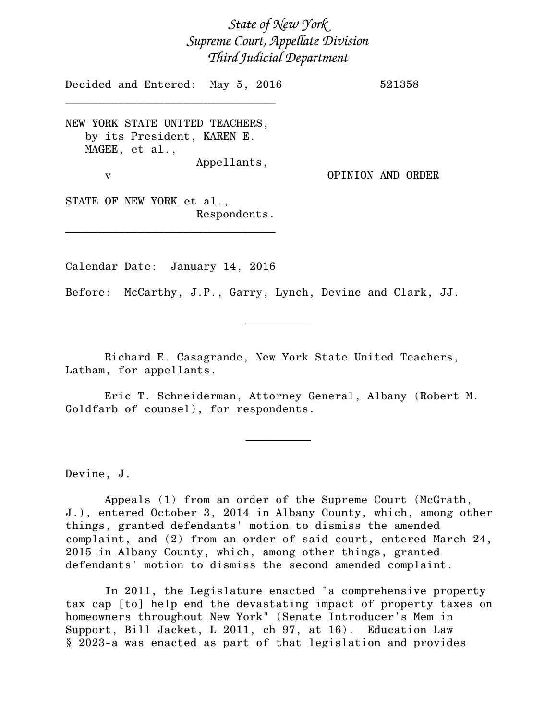*State of New York Supreme Court, Appellate Division Third Judicial Department*

Decided and Entered: May 5, 2016 521358 \_\_\_\_\_\_\_\_\_\_\_\_\_\_\_\_\_\_\_\_\_\_\_\_\_\_\_\_\_\_\_\_ NEW YORK STATE UNITED TEACHERS, by its President, KAREN E. MAGEE, et al., Appellants, v OPINION AND ORDER STATE OF NEW YORK et al., Respondents.

Calendar Date: January 14, 2016

\_\_\_\_\_\_\_\_\_\_\_\_\_\_\_\_\_\_\_\_\_\_\_\_\_\_\_\_\_\_\_\_

Before: McCarthy, J.P., Garry, Lynch, Devine and Clark, JJ.

 $\frac{1}{2}$ 

Richard E. Casagrande, New York State United Teachers, Latham, for appellants.

Eric T. Schneiderman, Attorney General, Albany (Robert M. Goldfarb of counsel), for respondents.

 $\overline{\phantom{a}}$   $\overline{\phantom{a}}$   $\overline{\phantom{a}}$   $\overline{\phantom{a}}$   $\overline{\phantom{a}}$   $\overline{\phantom{a}}$   $\overline{\phantom{a}}$   $\overline{\phantom{a}}$   $\overline{\phantom{a}}$   $\overline{\phantom{a}}$   $\overline{\phantom{a}}$   $\overline{\phantom{a}}$   $\overline{\phantom{a}}$   $\overline{\phantom{a}}$   $\overline{\phantom{a}}$   $\overline{\phantom{a}}$   $\overline{\phantom{a}}$   $\overline{\phantom{a}}$   $\overline{\$ 

Devine, J.

Appeals (1) from an order of the Supreme Court (McGrath, J.), entered October 3, 2014 in Albany County, which, among other things, granted defendants' motion to dismiss the amended complaint, and (2) from an order of said court, entered March 24, 2015 in Albany County, which, among other things, granted defendants' motion to dismiss the second amended complaint.

In 2011, the Legislature enacted "a comprehensive property tax cap [to] help end the devastating impact of property taxes on homeowners throughout New York" (Senate Introducer's Mem in Support, Bill Jacket, L 2011, ch 97, at 16). Education Law § 2023-a was enacted as part of that legislation and provides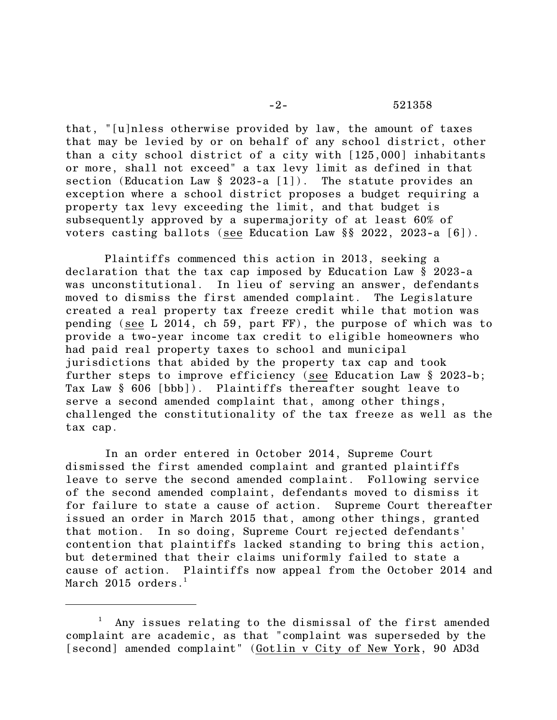that, "[u]nless otherwise provided by law, the amount of taxes that may be levied by or on behalf of any school district, other than a city school district of a city with [125,000] inhabitants or more, shall not exceed" a tax levy limit as defined in that section (Education Law § 2023-a [1]). The statute provides an exception where a school district proposes a budget requiring a property tax levy exceeding the limit, and that budget is subsequently approved by a supermajority of at least 60% of voters casting ballots (see Education Law §§ 2022, 2023-a [6]).

Plaintiffs commenced this action in 2013, seeking a declaration that the tax cap imposed by Education Law § 2023-a was unconstitutional. In lieu of serving an answer, defendants moved to dismiss the first amended complaint. The Legislature created a real property tax freeze credit while that motion was pending (see L 2014, ch 59, part FF), the purpose of which was to provide a two-year income tax credit to eligible homeowners who had paid real property taxes to school and municipal jurisdictions that abided by the property tax cap and took further steps to improve efficiency (see Education Law § 2023-b; Tax Law § 606 [bbb]). Plaintiffs thereafter sought leave to serve a second amended complaint that, among other things, challenged the constitutionality of the tax freeze as well as the tax cap.

In an order entered in October 2014, Supreme Court dismissed the first amended complaint and granted plaintiffs leave to serve the second amended complaint. Following service of the second amended complaint, defendants moved to dismiss it for failure to state a cause of action. Supreme Court thereafter issued an order in March 2015 that, among other things, granted that motion. In so doing, Supreme Court rejected defendants' contention that plaintiffs lacked standing to bring this action, but determined that their claims uniformly failed to state a cause of action. Plaintiffs now appeal from the October 2014 and March 2015 orders.<sup>1</sup>

Any issues relating to the dismissal of the first amended complaint are academic, as that "complaint was superseded by the [second] amended complaint" (Gotlin v City of New York, 90 AD3d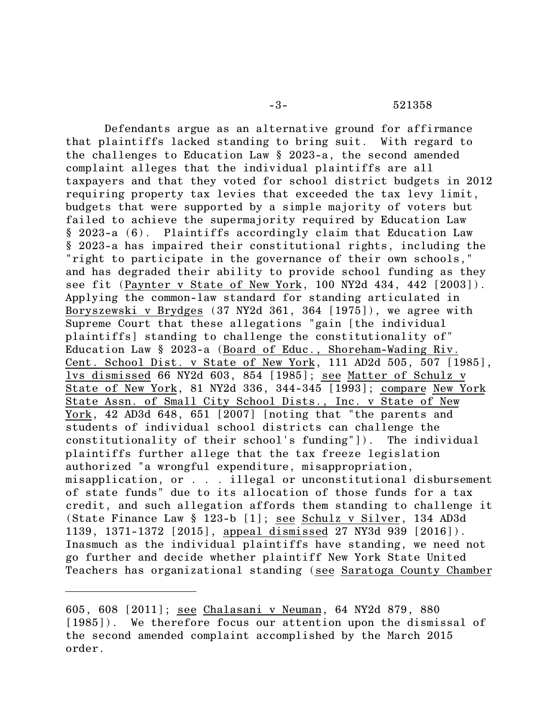-3- 521358

Defendants argue as an alternative ground for affirmance that plaintiffs lacked standing to bring suit. With regard to the challenges to Education Law § 2023-a, the second amended complaint alleges that the individual plaintiffs are all taxpayers and that they voted for school district budgets in 2012 requiring property tax levies that exceeded the tax levy limit, budgets that were supported by a simple majority of voters but failed to achieve the supermajority required by Education Law § 2023-a (6). Plaintiffs accordingly claim that Education Law § 2023-a has impaired their constitutional rights, including the "right to participate in the governance of their own schools," and has degraded their ability to provide school funding as they see fit (Paynter v State of New York, 100 NY2d 434, 442 [2003]). Applying the common-law standard for standing articulated in Boryszewski v Brydges (37 NY2d 361, 364 [1975]), we agree with Supreme Court that these allegations "gain [the individual plaintiffs] standing to challenge the constitutionality of" Education Law § 2023-a (Board of Educ., Shoreham-Wading Riv. Cent. School Dist. v State of New York, 111 AD2d 505, 507 [1985], lvs dismissed 66 NY2d 603, 854 [1985]; see Matter of Schulz v State of New York, 81 NY2d 336, 344-345 [1993]; compare New York State Assn. of Small City School Dists., Inc. v State of New York, 42 AD3d 648, 651 [2007] [noting that "the parents and students of individual school districts can challenge the constitutionality of their school's funding"]). The individual plaintiffs further allege that the tax freeze legislation authorized "a wrongful expenditure, misappropriation, misapplication, or . . . illegal or unconstitutional disbursement of state funds" due to its allocation of those funds for a tax credit, and such allegation affords them standing to challenge it (State Finance Law § 123-b [1]; see Schulz v Silver, 134 AD3d 1139, 1371-1372 [2015], appeal dismissed 27 NY3d 939 [2016]). Inasmuch as the individual plaintiffs have standing, we need not go further and decide whether plaintiff New York State United Teachers has organizational standing (see Saratoga County Chamber

<sup>605, 608 [2011];</sup> see Chalasani v Neuman, 64 NY2d 879, 880 [1985]). We therefore focus our attention upon the dismissal of the second amended complaint accomplished by the March 2015 order.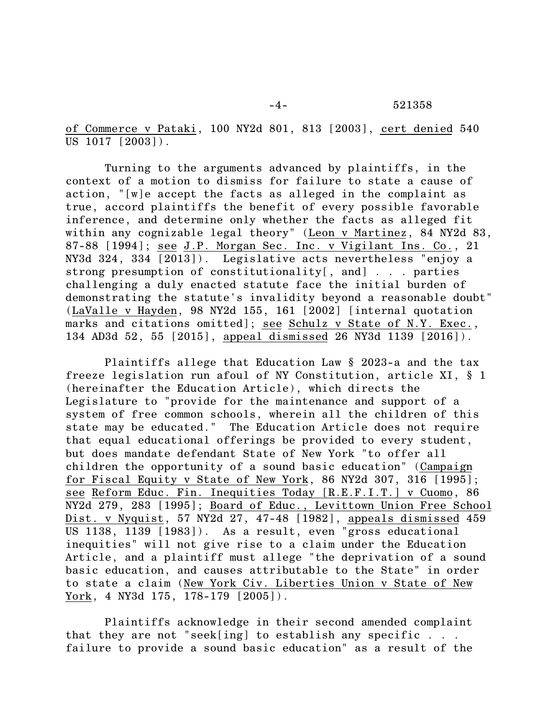-4- 521358

of Commerce v Pataki, 100 NY2d 801, 813 [2003], cert denied 540 US 1017 [2003]).

Turning to the arguments advanced by plaintiffs, in the context of a motion to dismiss for failure to state a cause of action, "[w]e accept the facts as alleged in the complaint as true, accord plaintiffs the benefit of every possible favorable inference, and determine only whether the facts as alleged fit within any cognizable legal theory" (Leon v Martinez, 84 NY2d 83, 87-88 [1994]; see J.P. Morgan Sec. Inc. v Vigilant Ins. Co., 21 NY3d 324, 334 [2013]). Legislative acts nevertheless "enjoy a strong presumption of constitutionality[, and] . . . parties challenging a duly enacted statute face the initial burden of demonstrating the statute's invalidity beyond a reasonable doubt" (LaValle v Hayden, 98 NY2d 155, 161 [2002] [internal quotation marks and citations omitted]; see Schulz v State of N.Y. Exec., 134 AD3d 52, 55 [2015], appeal dismissed 26 NY3d 1139 [2016]).

Plaintiffs allege that Education Law § 2023-a and the tax freeze legislation run afoul of NY Constitution, article XI, § 1 (hereinafter the Education Article), which directs the Legislature to "provide for the maintenance and support of a system of free common schools, wherein all the children of this state may be educated." The Education Article does not require that equal educational offerings be provided to every student, but does mandate defendant State of New York "to offer all children the opportunity of a sound basic education" (Campaign for Fiscal Equity v State of New York, 86 NY2d 307, 316 [1995]; see Reform Educ. Fin. Inequities Today [R.E.F.I.T.] v Cuomo, 86 NY2d 279, 283 [1995]; Board of Educ., Levittown Union Free School Dist. v Nyquist, 57 NY2d 27, 47-48 [1982], appeals dismissed 459 US 1138, 1139 [1983]). As a result, even "gross educational inequities" will not give rise to a claim under the Education Article, and a plaintiff must allege "the deprivation of a sound basic education, and causes attributable to the State" in order to state a claim (New York Civ. Liberties Union v State of New York, 4 NY3d 175, 178-179 [2005]).

Plaintiffs acknowledge in their second amended complaint that they are not "seek[ing] to establish any specific . . . failure to provide a sound basic education" as a result of the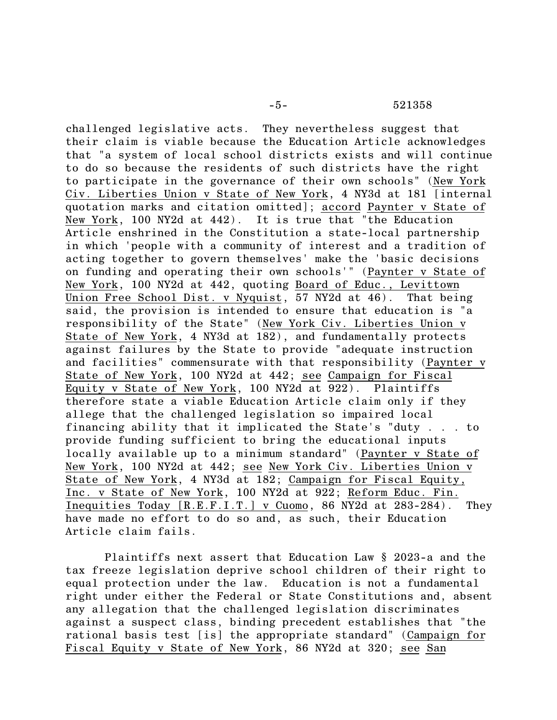challenged legislative acts. They nevertheless suggest that their claim is viable because the Education Article acknowledges that "a system of local school districts exists and will continue to do so because the residents of such districts have the right to participate in the governance of their own schools" (New York Civ. Liberties Union v State of New York, 4 NY3d at 181 [internal quotation marks and citation omitted]; accord Paynter v State of New York, 100 NY2d at 442). It is true that "the Education Article enshrined in the Constitution a state-local partnership in which 'people with a community of interest and a tradition of acting together to govern themselves' make the 'basic decisions on funding and operating their own schools'" (Paynter v State of New York, 100 NY2d at 442, quoting Board of Educ., Levittown Union Free School Dist. v Nyquist, 57 NY2d at 46). That being said, the provision is intended to ensure that education is "a responsibility of the State" (New York Civ. Liberties Union v State of New York, 4 NY3d at 182), and fundamentally protects against failures by the State to provide "adequate instruction and facilities" commensurate with that responsibility (Paynter v State of New York, 100 NY2d at 442; see Campaign for Fiscal Equity v State of New York, 100 NY2d at 922). Plaintiffs therefore state a viable Education Article claim only if they allege that the challenged legislation so impaired local financing ability that it implicated the State's "duty . . . to provide funding sufficient to bring the educational inputs locally available up to a minimum standard" (Paynter v State of New York, 100 NY2d at 442; see New York Civ. Liberties Union v State of New York, 4 NY3d at 182; Campaign for Fiscal Equity, Inc. v State of New York, 100 NY2d at 922; Reform Educ. Fin. Inequities Today [R.E.F.I.T.] v Cuomo, 86 NY2d at 283-284). They have made no effort to do so and, as such, their Education Article claim fails.

Plaintiffs next assert that Education Law § 2023-a and the tax freeze legislation deprive school children of their right to equal protection under the law. Education is not a fundamental right under either the Federal or State Constitutions and, absent any allegation that the challenged legislation discriminates against a suspect class, binding precedent establishes that "the rational basis test [is] the appropriate standard" (Campaign for Fiscal Equity v State of New York, 86 NY2d at 320; see San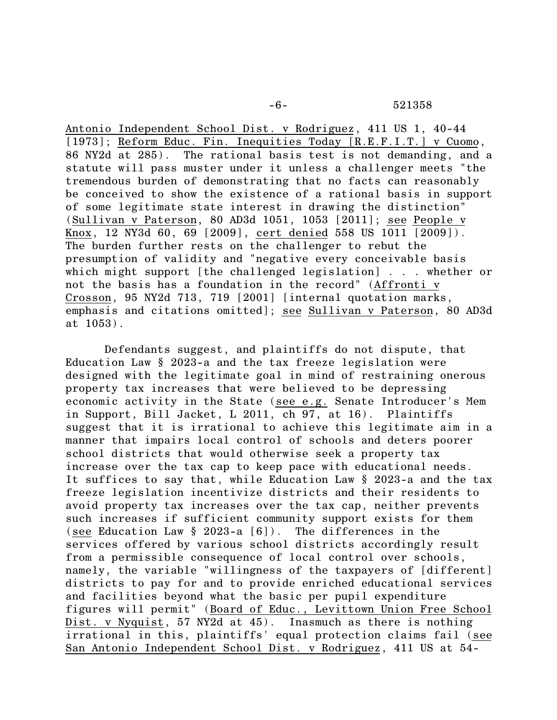Antonio Independent School Dist. v Rodriguez, 411 US 1, 40-44 [1973]; Reform Educ. Fin. Inequities Today [R.E.F.I.T.] v Cuomo, 86 NY2d at 285). The rational basis test is not demanding, and a statute will pass muster under it unless a challenger meets "the tremendous burden of demonstrating that no facts can reasonably be conceived to show the existence of a rational basis in support of some legitimate state interest in drawing the distinction" (Sullivan v Paterson, 80 AD3d 1051, 1053 [2011]; see People v Knox, 12 NY3d 60, 69 [2009], cert denied 558 US 1011 [2009]). The burden further rests on the challenger to rebut the presumption of validity and "negative every conceivable basis which might support [the challenged legislation] . . . whether or not the basis has a foundation in the record" (Affronti v Crosson, 95 NY2d 713, 719 [2001] [internal quotation marks, emphasis and citations omitted]; see Sullivan v Paterson, 80 AD3d at 1053).

Defendants suggest, and plaintiffs do not dispute, that Education Law § 2023-a and the tax freeze legislation were designed with the legitimate goal in mind of restraining onerous property tax increases that were believed to be depressing economic activity in the State (see e.g. Senate Introducer's Mem in Support, Bill Jacket, L 2011, ch 97, at 16). Plaintiffs suggest that it is irrational to achieve this legitimate aim in a manner that impairs local control of schools and deters poorer school districts that would otherwise seek a property tax increase over the tax cap to keep pace with educational needs. It suffices to say that, while Education Law § 2023-a and the tax freeze legislation incentivize districts and their residents to avoid property tax increases over the tax cap, neither prevents such increases if sufficient community support exists for them (see Education Law § 2023-a [6]). The differences in the services offered by various school districts accordingly result from a permissible consequence of local control over schools, namely, the variable "willingness of the taxpayers of [different] districts to pay for and to provide enriched educational services and facilities beyond what the basic per pupil expenditure figures will permit" (Board of Educ., Levittown Union Free School Dist. v Nyquist, 57 NY2d at 45). Inasmuch as there is nothing irrational in this, plaintiffs' equal protection claims fail (see San Antonio Independent School Dist. v Rodriguez, 411 US at 54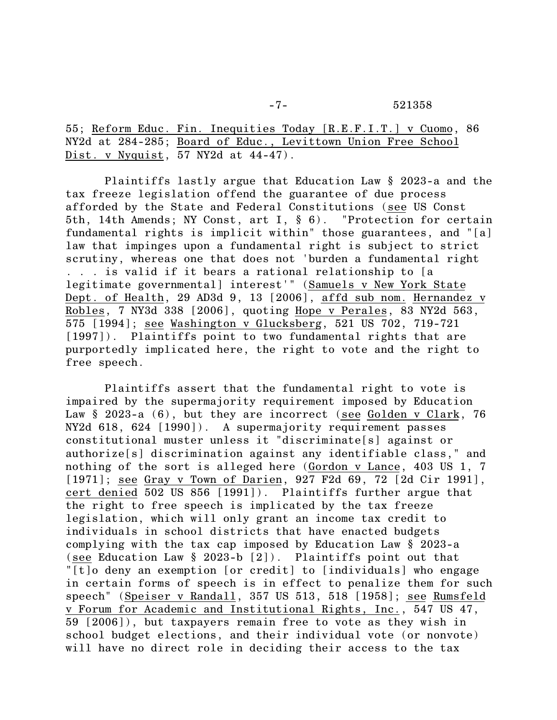55; Reform Educ. Fin. Inequities Today [R.E.F.I.T.] v Cuomo, 86 NY2d at 284-285; Board of Educ., Levittown Union Free School Dist. v Nyquist, 57 NY2d at 44-47).

Plaintiffs lastly argue that Education Law § 2023-a and the tax freeze legislation offend the guarantee of due process afforded by the State and Federal Constitutions (see US Const 5th, 14th Amends; NY Const, art I, § 6). "Protection for certain fundamental rights is implicit within" those guarantees, and "[a] law that impinges upon a fundamental right is subject to strict scrutiny, whereas one that does not 'burden a fundamental right . . . is valid if it bears a rational relationship to [a legitimate governmental] interest'" (Samuels v New York State Dept. of Health, 29 AD3d 9, 13 [2006], affd sub nom. Hernandez v Robles, 7 NY3d 338 [2006], quoting Hope v Perales, 83 NY2d 563, 575 [1994]; see Washington v Glucksberg, 521 US 702, 719-721 [1997]). Plaintiffs point to two fundamental rights that are purportedly implicated here, the right to vote and the right to free speech.

Plaintiffs assert that the fundamental right to vote is impaired by the supermajority requirement imposed by Education Law § 2023-a (6), but they are incorrect (see Golden v Clark, 76 NY2d 618, 624 [1990]). A supermajority requirement passes constitutional muster unless it "discriminate[s] against or authorize[s] discrimination against any identifiable class," and nothing of the sort is alleged here (Gordon v Lance, 403 US 1, 7 [1971]; see Gray v Town of Darien, 927 F2d 69, 72 [2d Cir 1991], cert denied 502 US 856 [1991]). Plaintiffs further argue that the right to free speech is implicated by the tax freeze legislation, which will only grant an income tax credit to individuals in school districts that have enacted budgets complying with the tax cap imposed by Education Law § 2023-a (see Education Law § 2023-b [2]). Plaintiffs point out that "[t]o deny an exemption [or credit] to [individuals] who engage in certain forms of speech is in effect to penalize them for such speech" (Speiser v Randall, 357 US 513, 518 [1958]; see Rumsfeld v Forum for Academic and Institutional Rights, Inc., 547 US 47, 59 [2006]), but taxpayers remain free to vote as they wish in school budget elections, and their individual vote (or nonvote) will have no direct role in deciding their access to the tax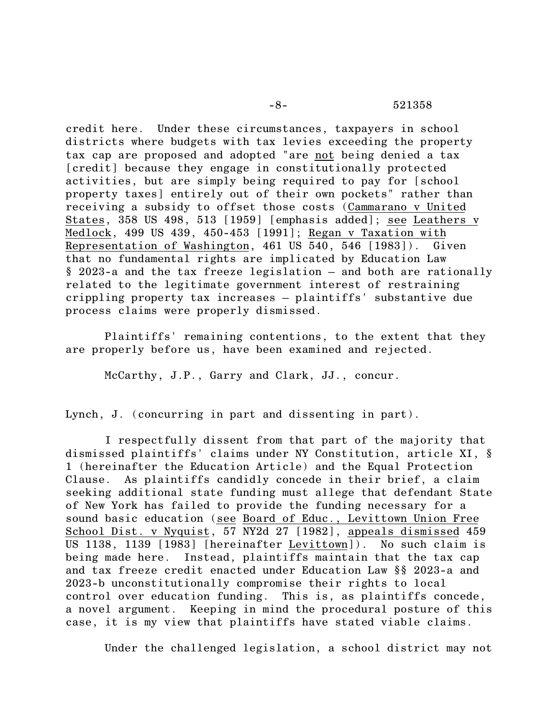-8- 521358

credit here. Under these circumstances, taxpayers in school districts where budgets with tax levies exceeding the property tax cap are proposed and adopted "are not being denied a tax [credit] because they engage in constitutionally protected activities, but are simply being required to pay for [school property taxes] entirely out of their own pockets" rather than receiving a subsidy to offset those costs (Cammarano v United States, 358 US 498, 513 [1959] [emphasis added]; see Leathers v Medlock, 499 US 439, 450-453 [1991]; Regan v Taxation with Representation of Washington, 461 US 540, 546 [1983]). Given that no fundamental rights are implicated by Education Law § 2023-a and the tax freeze legislation – and both are rationally related to the legitimate government interest of restraining crippling property tax increases – plaintiffs' substantive due process claims were properly dismissed.

Plaintiffs' remaining contentions, to the extent that they are properly before us, have been examined and rejected.

McCarthy, J.P., Garry and Clark, JJ., concur.

Lynch, J. (concurring in part and dissenting in part).

I respectfully dissent from that part of the majority that dismissed plaintiffs' claims under NY Constitution, article XI, § 1 (hereinafter the Education Article) and the Equal Protection Clause. As plaintiffs candidly concede in their brief, a claim seeking additional state funding must allege that defendant State of New York has failed to provide the funding necessary for a sound basic education (see Board of Educ., Levittown Union Free School Dist. v Nyquist, 57 NY2d 27 [1982], appeals dismissed 459 US 1138, 1139 [1983] [hereinafter Levittown]). No such claim is being made here. Instead, plaintiffs maintain that the tax cap and tax freeze credit enacted under Education Law §§ 2023-a and 2023-b unconstitutionally compromise their rights to local control over education funding. This is, as plaintiffs concede, a novel argument. Keeping in mind the procedural posture of this case, it is my view that plaintiffs have stated viable claims.

Under the challenged legislation, a school district may not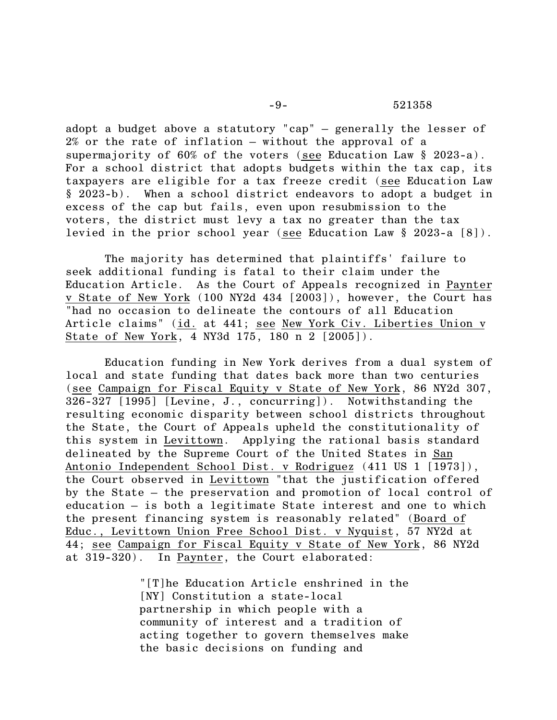adopt a budget above a statutory "cap" – generally the lesser of 2% or the rate of inflation – without the approval of a supermajority of 60% of the voters (see Education Law § 2023-a). For a school district that adopts budgets within the tax cap, its taxpayers are eligible for a tax freeze credit (see Education Law § 2023-b). When a school district endeavors to adopt a budget in excess of the cap but fails, even upon resubmission to the voters, the district must levy a tax no greater than the tax levied in the prior school year (see Education Law § 2023-a [8]).

The majority has determined that plaintiffs' failure to seek additional funding is fatal to their claim under the Education Article. As the Court of Appeals recognized in Paynter v State of New York (100 NY2d 434 [2003]), however, the Court has "had no occasion to delineate the contours of all Education Article claims" (id. at 441; see New York Civ. Liberties Union v State of New York, 4 NY3d 175, 180 n 2 [2005]).

Education funding in New York derives from a dual system of local and state funding that dates back more than two centuries (see Campaign for Fiscal Equity v State of New York, 86 NY2d 307, 326-327 [1995] [Levine, J., concurring]). Notwithstanding the resulting economic disparity between school districts throughout the State, the Court of Appeals upheld the constitutionality of this system in Levittown. Applying the rational basis standard delineated by the Supreme Court of the United States in San Antonio Independent School Dist. v Rodriguez (411 US 1 [1973]), the Court observed in Levittown "that the justification offered by the State – the preservation and promotion of local control of education – is both a legitimate State interest and one to which the present financing system is reasonably related" (Board of Educ., Levittown Union Free School Dist. v Nyquist, 57 NY2d at 44; see Campaign for Fiscal Equity v State of New York, 86 NY2d at 319-320). In Paynter, the Court elaborated:

> "[T]he Education Article enshrined in the [NY] Constitution a state-local partnership in which people with a community of interest and a tradition of acting together to govern themselves make the basic decisions on funding and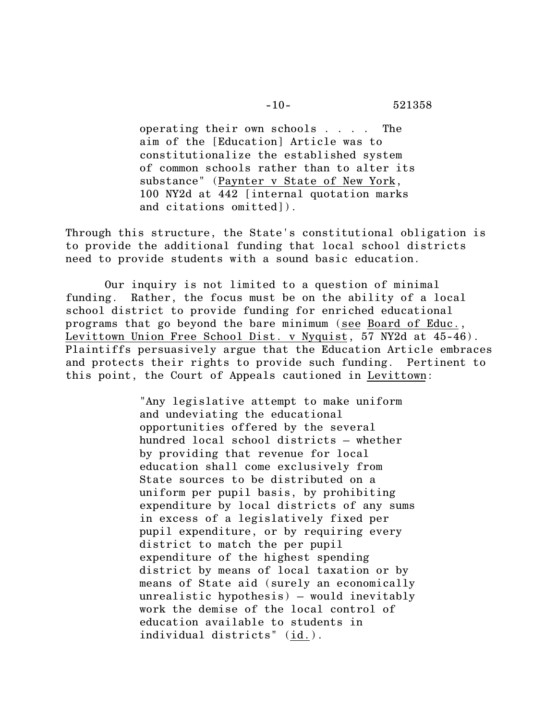operating their own schools . . . . The aim of the [Education] Article was to constitutionalize the established system of common schools rather than to alter its substance" (Paynter v State of New York, 100 NY2d at 442 [internal quotation marks and citations omitted]).

Through this structure, the State's constitutional obligation is to provide the additional funding that local school districts need to provide students with a sound basic education.

Our inquiry is not limited to a question of minimal funding. Rather, the focus must be on the ability of a local school district to provide funding for enriched educational programs that go beyond the bare minimum (see Board of Educ., Levittown Union Free School Dist. v Nyquist, 57 NY2d at 45-46). Plaintiffs persuasively argue that the Education Article embraces and protects their rights to provide such funding. Pertinent to this point, the Court of Appeals cautioned in Levittown:

> "Any legislative attempt to make uniform and undeviating the educational opportunities offered by the several hundred local school districts – whether by providing that revenue for local education shall come exclusively from State sources to be distributed on a uniform per pupil basis, by prohibiting expenditure by local districts of any sums in excess of a legislatively fixed per pupil expenditure, or by requiring every district to match the per pupil expenditure of the highest spending district by means of local taxation or by means of State aid (surely an economically unrealistic hypothesis) – would inevitably work the demise of the local control of education available to students in individual districts" (id.).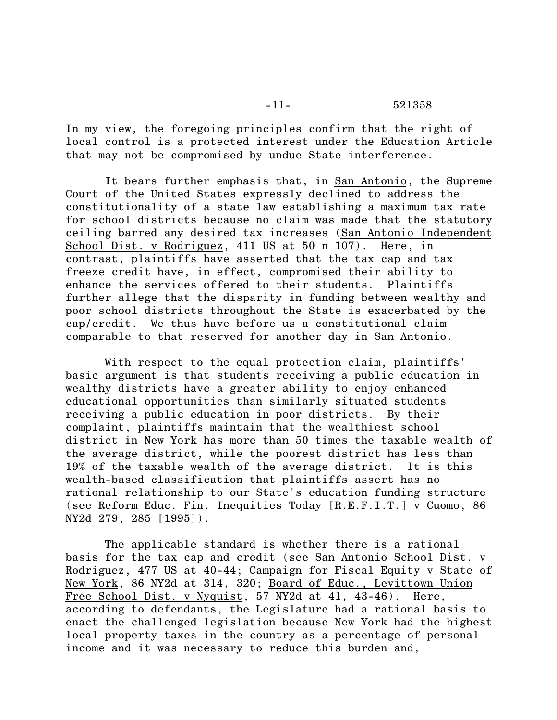In my view, the foregoing principles confirm that the right of local control is a protected interest under the Education Article that may not be compromised by undue State interference.

It bears further emphasis that, in San Antonio, the Supreme Court of the United States expressly declined to address the constitutionality of a state law establishing a maximum tax rate for school districts because no claim was made that the statutory ceiling barred any desired tax increases (San Antonio Independent School Dist. v Rodriguez, 411 US at 50 n 107). Here, in contrast, plaintiffs have asserted that the tax cap and tax freeze credit have, in effect, compromised their ability to enhance the services offered to their students. Plaintiffs further allege that the disparity in funding between wealthy and poor school districts throughout the State is exacerbated by the cap/credit. We thus have before us a constitutional claim comparable to that reserved for another day in San Antonio.

With respect to the equal protection claim, plaintiffs' basic argument is that students receiving a public education in wealthy districts have a greater ability to enjoy enhanced educational opportunities than similarly situated students receiving a public education in poor districts. By their complaint, plaintiffs maintain that the wealthiest school district in New York has more than 50 times the taxable wealth of the average district, while the poorest district has less than 19% of the taxable wealth of the average district. It is this wealth-based classification that plaintiffs assert has no rational relationship to our State's education funding structure (see Reform Educ. Fin. Inequities Today [R.E.F.I.T.] v Cuomo, 86 NY2d 279, 285 [1995]).

The applicable standard is whether there is a rational basis for the tax cap and credit (see San Antonio School Dist. v Rodriguez, 477 US at 40-44; Campaign for Fiscal Equity v State of New York, 86 NY2d at 314, 320; Board of Educ., Levittown Union Free School Dist. v Nyquist, 57 NY2d at 41, 43-46). Here, according to defendants, the Legislature had a rational basis to enact the challenged legislation because New York had the highest local property taxes in the country as a percentage of personal income and it was necessary to reduce this burden and,